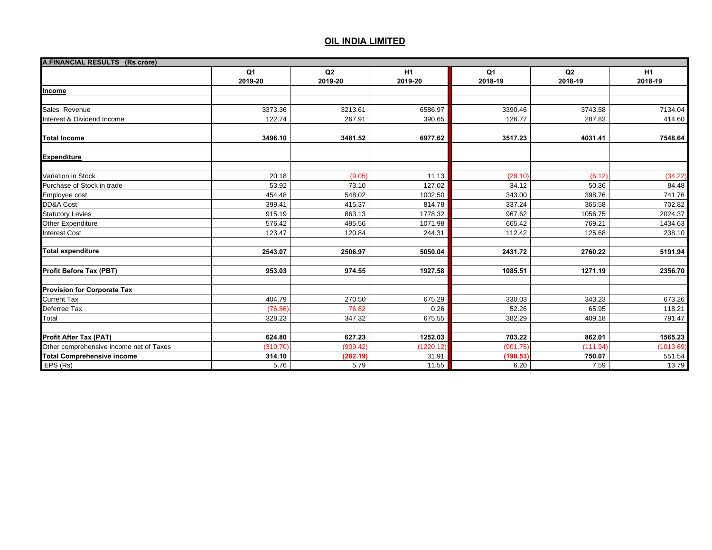| A.FINANCIAL RESULTS (Rs crore)          |                |          |           |                |          |                |
|-----------------------------------------|----------------|----------|-----------|----------------|----------|----------------|
|                                         | Q <sub>1</sub> | Q2       | H1        | Q <sub>1</sub> | Q2       | H <sub>1</sub> |
|                                         | 2019-20        | 2019-20  | 2019-20   | 2018-19        | 2018-19  | 2018-19        |
| Income                                  |                |          |           |                |          |                |
|                                         |                |          |           |                |          |                |
| Sales Revenue                           | 3373.36        | 3213.61  | 6586.97   | 3390.46        | 3743.58  | 7134.04        |
| Interest & Dividend Income              | 122.74         | 267.91   | 390.65    | 126.77         | 287.83   | 414.60         |
|                                         |                |          |           |                |          |                |
| <b>Total Income</b>                     | 3496.10        | 3481.52  | 6977.62   | 3517.23        | 4031.41  | 7548.64        |
| <b>Expenditure</b>                      |                |          |           |                |          |                |
| Variation in Stock                      | 20.18          | (9.05)   | 11.13     | (28.10)        | (6.12)   | (34.22)        |
| Purchase of Stock in trade              | 53.92          | 73.10    | 127.02    | 34.12          | 50.36    | 84.48          |
| Employee cost                           | 454.48         | 548.02   | 1002.50   | 343.00         | 398.76   | 741.76         |
| DD&A Cost                               | 399.41         | 415.37   | 814.78    | 337.24         | 365.58   | 702.82         |
| <b>Statutory Levies</b>                 | 915.19         | 863.13   | 1778.32   | 967.62         | 1056.75  | 2024.37        |
| Other Expenditure                       | 576.42         | 495.56   | 1071.98   | 665.42         | 769.21   | 1434.63        |
| <b>Interest Cost</b>                    | 123.47         | 120.84   | 244.31    | 112.42         | 125.68   | 238.10         |
| <b>Total expenditure</b>                | 2543.07        | 2506.97  | 5050.04   | 2431.72        | 2760.22  | 5191.94        |
| Profit Before Tax (PBT)                 | 953.03         | 974.55   | 1927.58   | 1085.51        | 1271.19  | 2356.70        |
| <b>Provision for Corporate Tax</b>      |                |          |           |                |          |                |
| <b>Current Tax</b>                      | 404.79         | 270.50   | 675.29    | 330.03         | 343.23   | 673.26         |
| Deferred Tax                            | (76.56)        | 76.82    | 0.26      | 52.26          | 65.95    | 118.21         |
| Total                                   | 328.23         | 347.32   | 675.55    | 382.29         | 409.18   | 791.47         |
|                                         |                |          |           |                |          |                |
| <b>Profit After Tax (PAT)</b>           | 624.80         | 627.23   | 1252.03   | 703.22         | 862.01   | 1565.23        |
| Other comprehensive income net of Taxes | (310.70)       | (909.42) | (1220.12) | (901.75)       | (111.94) | (1013.69)      |
| <b>Total Comprehensive income</b>       | 314.10         | (282.19) | 31.91     | (198.53)       | 750.07   | 551.54         |
| EPS (Rs)                                | 5.76           | 5.79     | 11.55     | 6.20           | 7.59     | 13.79          |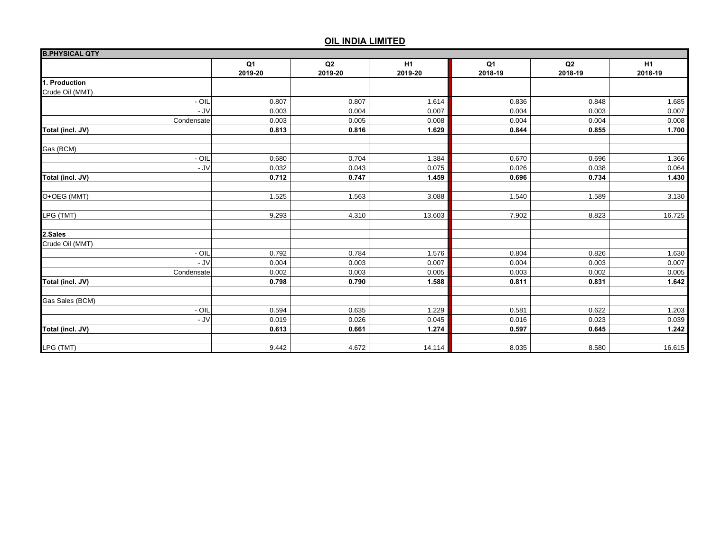| <b>B.PHYSICAL QTY</b> |                |         |                |         |         |                |
|-----------------------|----------------|---------|----------------|---------|---------|----------------|
|                       | Q <sub>1</sub> | Q2      | H <sub>1</sub> | Q1      | Q2      | H <sub>1</sub> |
|                       | 2019-20        | 2019-20 | 2019-20        | 2018-19 | 2018-19 | 2018-19        |
| 1. Production         |                |         |                |         |         |                |
| Crude Oil (MMT)       |                |         |                |         |         |                |
| - OIL                 | 0.807          | 0.807   | 1.614          | 0.836   | 0.848   | 1.685          |
| - JV                  | 0.003          | 0.004   | 0.007          | 0.004   | 0.003   | 0.007          |
| Condensate            | 0.003          | 0.005   | 0.008          | 0.004   | 0.004   | 0.008          |
| Total (incl. JV)      | 0.813          | 0.816   | 1.629          | 0.844   | 0.855   | 1.700          |
| Gas (BCM)             |                |         |                |         |         |                |
| - OIL                 | 0.680          | 0.704   | 1.384          | 0.670   | 0.696   | 1.366          |
| $-JV$                 | 0.032          | 0.043   | 0.075          | 0.026   | 0.038   | 0.064          |
| Total (incl. JV)      | 0.712          | 0.747   | 1.459          | 0.696   | 0.734   | 1.430          |
| O+OEG (MMT)           | 1.525          | 1.563   | 3.088          | 1.540   | 1.589   | 3.130          |
| LPG (TMT)             | 9.293          | 4.310   | 13.603         | 7.902   | 8.823   | 16.725         |
| 2.Sales               |                |         |                |         |         |                |
| Crude Oil (MMT)       |                |         |                |         |         |                |
| - OIL                 | 0.792          | 0.784   | 1.576          | 0.804   | 0.826   | 1.630          |
| - JV                  | 0.004          | 0.003   | 0.007          | 0.004   | 0.003   | 0.007          |
| Condensate            | 0.002          | 0.003   | 0.005          | 0.003   | 0.002   | 0.005          |
| Total (incl. JV)      | 0.798          | 0.790   | 1.588          | 0.811   | 0.831   | 1.642          |
| Gas Sales (BCM)       |                |         |                |         |         |                |
| $-$ OIL               | 0.594          | 0.635   | 1.229          | 0.581   | 0.622   | 1.203          |
| $-JV$                 | 0.019          | 0.026   | 0.045          | 0.016   | 0.023   | 0.039          |
| Total (incl. JV)      | 0.613          | 0.661   | 1.274          | 0.597   | 0.645   | 1.242          |
| LPG (TMT)             | 9.442          | 4.672   | 14.114         | 8.035   | 8.580   | 16.615         |
|                       |                |         |                |         |         |                |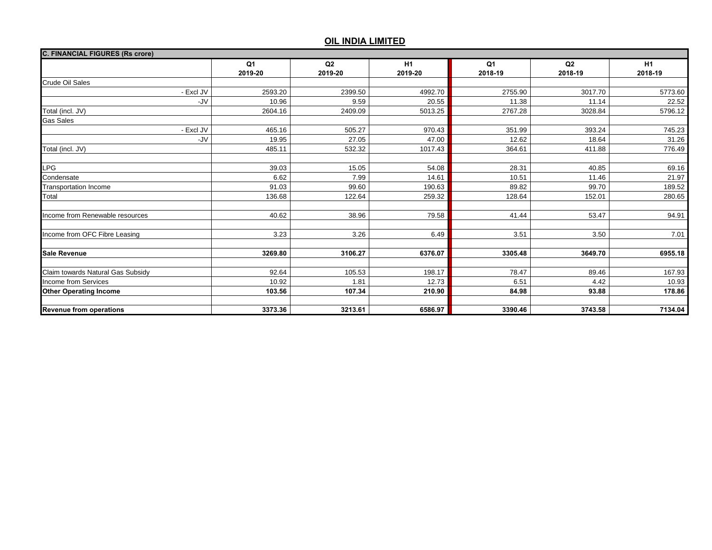| <b>C. FINANCIAL FIGURES (Rs crore)</b> |               |                           |               |                           |               |               |  |
|----------------------------------------|---------------|---------------------------|---------------|---------------------------|---------------|---------------|--|
|                                        | Q1<br>2019-20 | Q <sub>2</sub><br>2019-20 | H1<br>2019-20 | Q <sub>1</sub><br>2018-19 | Q2<br>2018-19 | H1<br>2018-19 |  |
| <b>Crude Oil Sales</b>                 |               |                           |               |                           |               |               |  |
| - Excl JV                              | 2593.20       | 2399.50                   | 4992.70       | 2755.90                   | 3017.70       | 5773.60       |  |
| -JV                                    | 10.96         | 9.59                      | 20.55         | 11.38                     | 11.14         | 22.52         |  |
| Total (incl. JV)                       | 2604.16       | 2409.09                   | 5013.25       | 2767.28                   | 3028.84       | 5796.12       |  |
| <b>Gas Sales</b>                       |               |                           |               |                           |               |               |  |
| - Excl JV                              | 465.16        | 505.27                    | 970.43        | 351.99                    | 393.24        | 745.23        |  |
| -JV                                    | 19.95         | 27.05                     | 47.00         | 12.62                     | 18.64         | 31.26         |  |
| Total (incl. JV)                       | 485.11        | 532.32                    | 1017.43       | 364.61                    | 411.88        | 776.49        |  |
|                                        |               |                           |               |                           |               |               |  |
| <b>LPG</b>                             | 39.03         | 15.05                     | 54.08         | 28.31                     | 40.85         | 69.16         |  |
| Condensate                             | 6.62          | 7.99                      | 14.61         | 10.51                     | 11.46         | 21.97         |  |
| <b>Transportation Income</b>           | 91.03         | 99.60                     | 190.63        | 89.82                     | 99.70         | 189.52        |  |
| Total                                  | 136.68        | 122.64                    | 259.32        | 128.64                    | 152.01        | 280.65        |  |
| Income from Renewable resources        | 40.62         | 38.96                     | 79.58         | 41.44                     | 53.47         | 94.91         |  |
| Income from OFC Fibre Leasing          | 3.23          | 3.26                      | 6.49          | 3.51                      | 3.50          | 7.01          |  |
| <b>Sale Revenue</b>                    | 3269.80       | 3106.27                   | 6376.07       | 3305.48                   | 3649.70       | 6955.18       |  |
| Claim towards Natural Gas Subsidy      | 92.64         | 105.53                    | 198.17        | 78.47                     | 89.46         | 167.93        |  |
| Income from Services                   | 10.92         | 1.81                      | 12.73         | 6.51                      | 4.42          | 10.93         |  |
| <b>Other Operating Income</b>          | 103.56        | 107.34                    | 210.90        | 84.98                     | 93.88         | 178.86        |  |
| <b>Revenue from operations</b>         | 3373.36       | 3213.61                   | 6586.97       | 3390.46                   | 3743.58       | 7134.04       |  |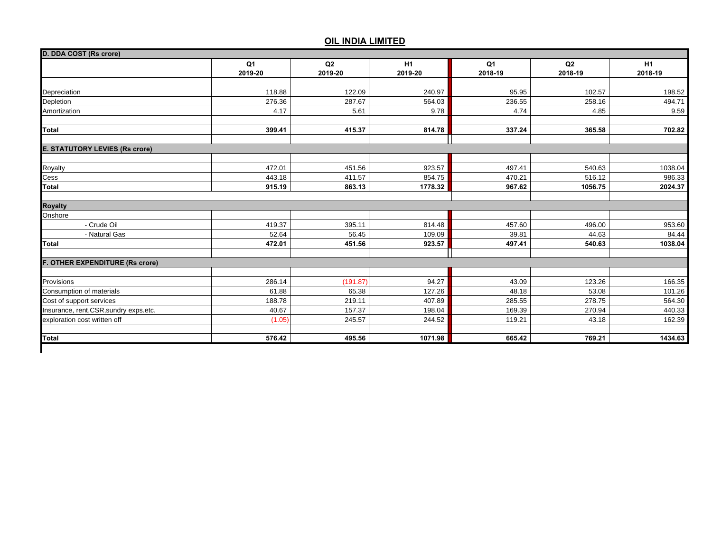|                                        | Q <sub>1</sub> | Q2       | <b>H1</b> | Q <sub>1</sub> | Q2      | H1      |
|----------------------------------------|----------------|----------|-----------|----------------|---------|---------|
|                                        | 2019-20        | 2019-20  | 2019-20   | 2018-19        | 2018-19 | 2018-19 |
|                                        |                |          |           |                |         |         |
| Depreciation                           | 118.88         | 122.09   | 240.97    | 95.95          | 102.57  | 198.52  |
| Depletion                              | 276.36         | 287.67   | 564.03    | 236.55         | 258.16  | 494.71  |
| Amortization                           | 4.17           | 5.61     | 9.78      | 4.74           | 4.85    | 9.59    |
| <b>Total</b>                           | 399.41         | 415.37   | 814.78    | 337.24         | 365.58  | 702.82  |
|                                        |                |          |           |                |         |         |
| <b>E. STATUTORY LEVIES (Rs crore)</b>  |                |          |           |                |         |         |
| <b>Royalty</b>                         | 472.01         | 451.56   | 923.57    | 497.41         | 540.63  | 1038.04 |
| Cess                                   | 443.18         | 411.57   | 854.75    | 470.21         | 516.12  | 986.33  |
| <b>Total</b>                           | 915.19         | 863.13   | 1778.32   | 967.62         | 1056.75 | 2024.37 |
|                                        |                |          |           |                |         |         |
| <b>Royalty</b>                         |                |          |           |                |         |         |
| Onshore                                |                |          |           |                |         |         |
| - Crude Oil                            | 419.37         | 395.11   | 814.48    | 457.60         | 496.00  | 953.60  |
| - Natural Gas                          | 52.64          | 56.45    | 109.09    | 39.81          | 44.63   | 84.44   |
| <b>Total</b>                           | 472.01         | 451.56   | 923.57    | 497.41         | 540.63  | 1038.04 |
| <b>OTHER EXPENDITURE (Rs crore)</b>    |                |          |           |                |         |         |
|                                        |                |          |           |                |         |         |
| Provisions                             | 286.14         | (191.87) | 94.27     | 43.09          | 123.26  | 166.35  |
| Consumption of materials               | 61.88          | 65.38    | 127.26    | 48.18          | 53.08   | 101.26  |
| Cost of support services               | 188.78         | 219.11   | 407.89    | 285.55         | 278.75  | 564.30  |
| Insurance, rent, CSR, sundry exps.etc. | 40.67          | 157.37   | 198.04    | 169.39         | 270.94  | 440.33  |
| exploration cost written off           | (1.05)         | 245.57   | 244.52    | 119.21         | 43.18   | 162.39  |
| Total                                  | 576.42         | 495.56   | 1071.98   | 665.42         | 769.21  | 1434.63 |